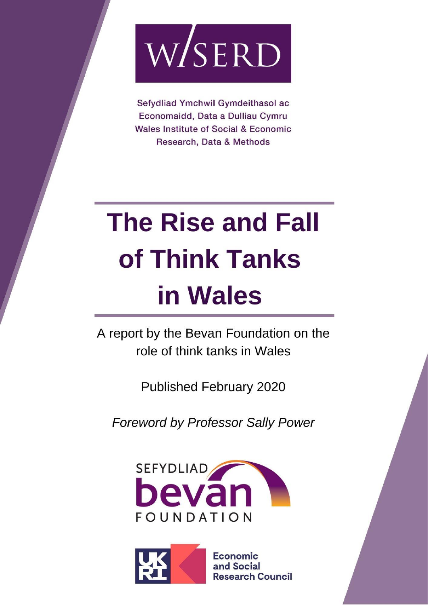

Sefydliad Ymchwil Gymdeithasol ac Economaidd, Data a Dulliau Cymru **Wales Institute of Social & Economic** Research, Data & Methods

# **The Rise and Fall** of Think Tanks in Wales

A report by the Bevan Foundation on the role of think tanks in Wales

Published February 2020

**Foreword by Professor Sally Power** 



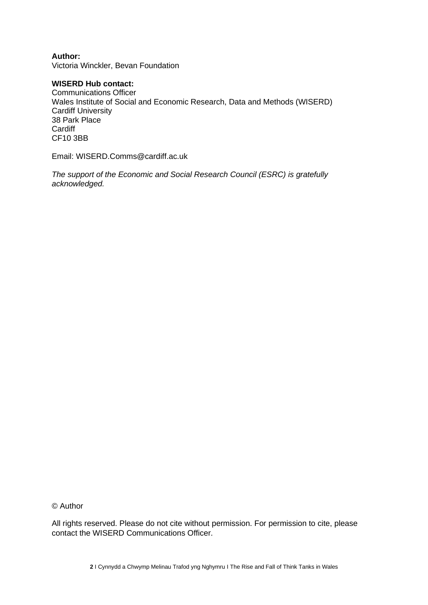**Author:** Victoria Winckler, Bevan Foundation

#### **WISERD Hub contact:**

Communications Officer Wales Institute of Social and Economic Research, Data and Methods (WISERD) Cardiff University 38 Park Place **Cardiff** CF10 3BB

Email: WISERD.Comms@cardiff.ac.uk

*The support of the Economic and Social Research Council (ESRC) is gratefully acknowledged.*

© Author

All rights reserved. Please do not cite without permission. For permission to cite, please contact the WISERD Communications Officer.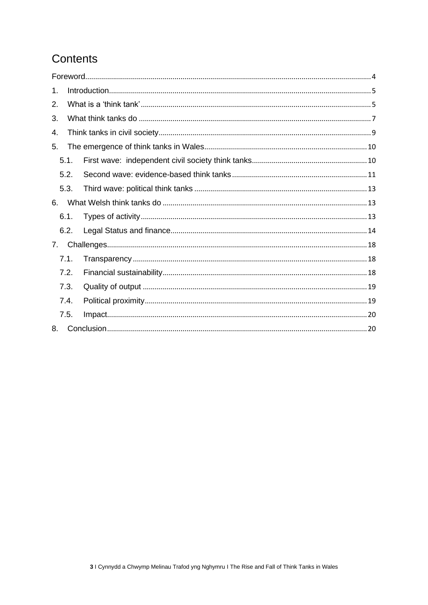# Contents

| 1. |      |  |  |  |  |  |  |  |
|----|------|--|--|--|--|--|--|--|
| 2. |      |  |  |  |  |  |  |  |
| 3. |      |  |  |  |  |  |  |  |
| 4. |      |  |  |  |  |  |  |  |
| 5. |      |  |  |  |  |  |  |  |
|    | 5.1. |  |  |  |  |  |  |  |
|    | 5.2. |  |  |  |  |  |  |  |
|    | 5.3. |  |  |  |  |  |  |  |
| 6. |      |  |  |  |  |  |  |  |
|    | 6.1. |  |  |  |  |  |  |  |
|    | 6.2. |  |  |  |  |  |  |  |
| 7. |      |  |  |  |  |  |  |  |
|    | 7.1. |  |  |  |  |  |  |  |
|    | 7.2. |  |  |  |  |  |  |  |
|    | 7.3. |  |  |  |  |  |  |  |
|    | 7.4. |  |  |  |  |  |  |  |
|    | 7.5. |  |  |  |  |  |  |  |
| 8. |      |  |  |  |  |  |  |  |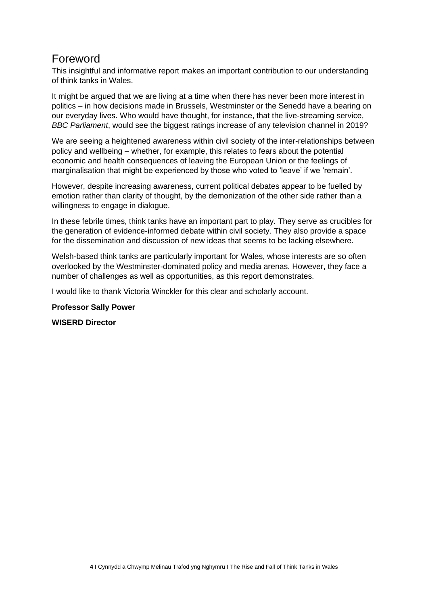# <span id="page-3-0"></span>Foreword

This insightful and informative report makes an important contribution to our understanding of think tanks in Wales.

It might be argued that we are living at a time when there has never been more interest in politics – in how decisions made in Brussels, Westminster or the Senedd have a bearing on our everyday lives. Who would have thought, for instance, that the live-streaming service, *BBC Parliament*, would see the biggest ratings increase of any television channel in 2019?

We are seeing a heightened awareness within civil society of the inter-relationships between policy and wellbeing – whether, for example, this relates to fears about the potential economic and health consequences of leaving the European Union or the feelings of marginalisation that might be experienced by those who voted to 'leave' if we 'remain'.

However, despite increasing awareness, current political debates appear to be fuelled by emotion rather than clarity of thought, by the demonization of the other side rather than a willingness to engage in dialogue.

In these febrile times, think tanks have an important part to play. They serve as crucibles for the generation of evidence-informed debate within civil society. They also provide a space for the dissemination and discussion of new ideas that seems to be lacking elsewhere.

Welsh-based think tanks are particularly important for Wales, whose interests are so often overlooked by the Westminster-dominated policy and media arenas. However, they face a number of challenges as well as opportunities, as this report demonstrates.

I would like to thank Victoria Winckler for this clear and scholarly account.

#### **Professor Sally Power**

**WISERD Director**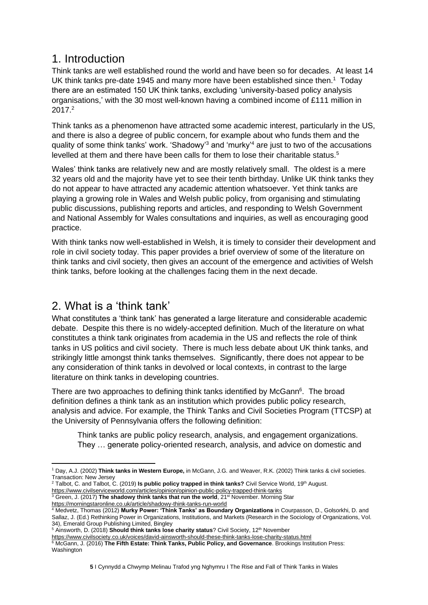## <span id="page-4-0"></span>1. Introduction

Think tanks are well established round the world and have been so for decades. At least 14 UK think tanks pre-date 1945 and many more have been established since then.<sup>1</sup> Today there are an estimated 150 UK think tanks, excluding 'university-based policy analysis organisations,' with the 30 most well-known having a combined income of £111 million in 2017.<sup>2</sup>

Think tanks as a phenomenon have attracted some academic interest, particularly in the US, and there is also a degree of public concern, for example about who funds them and the quality of some think tanks' work. 'Shadowy'<sup>3</sup> and 'murky'<sup>4</sup> are just to two of the accusations levelled at them and there have been calls for them to lose their charitable status.<sup>5</sup>

Wales' think tanks are relatively new and are mostly relatively small. The oldest is a mere 32 years old and the majority have yet to see their tenth birthday. Unlike UK think tanks they do not appear to have attracted any academic attention whatsoever. Yet think tanks are playing a growing role in Wales and Welsh public policy, from organising and stimulating public discussions, publishing reports and articles, and responding to Welsh Government and National Assembly for Wales consultations and inquiries, as well as encouraging good practice.

With think tanks now well-established in Welsh, it is timely to consider their development and role in civil society today. This paper provides a brief overview of some of the literature on think tanks and civil society, then gives an account of the emergence and activities of Welsh think tanks, before looking at the challenges facing them in the next decade.

# <span id="page-4-1"></span>2. What is a 'think tank'

What constitutes a 'think tank' has generated a large literature and considerable academic debate. Despite this there is no widely-accepted definition. Much of the literature on what constitutes a think tank originates from academia in the US and reflects the role of think tanks in US politics and civil society. There is much less debate about UK think tanks, and strikingly little amongst think tanks themselves. Significantly, there does not appear to be any consideration of think tanks in devolved or local contexts, in contrast to the large literature on think tanks in developing countries.

There are two approaches to defining think tanks identified by McGann<sup>6</sup>. The broad definition defines a think tank as an institution which provides public policy research, analysis and advice. For example, the Think Tanks and Civil Societies Program (TTCSP) at the University of Pennsylvania offers the following definition:

Think tanks are public policy research, analysis, and engagement organizations. They … generate policy-oriented research, analysis, and advice on domestic and

<sup>3</sup> Green, J. (2017) The shadowy think tanks that run the world, 21<sup>st</sup> November. Morning Star <https://morningstaronline.co.uk/article/shadowy-think-tanks-run-world>

<sup>5</sup> Ainsworth, D. (2018) **Should think tanks lose charity status**? Civil Society, 12<sup>th</sup> November

<sup>1</sup> Day, A.J. (2002) **Think tanks in Western Europe,** in McGann, J.G. and Weaver, R.K. (2002) Think tanks & civil societies. Transaction: New Jersey

<sup>&</sup>lt;sup>2</sup> Talbot, C. and Talbot, C. (2019) **Is public policy trapped in think tanks?** Civil Service World, 19<sup>th</sup> August. <https://www.civilserviceworld.com/articles/opinion/opinion-public-policy-trapped-think-tanks>

<sup>4</sup> Medvetz, Thomas (2012) **Murky Power: 'Think Tanks' as Boundary Organizations** in Courpasson, D., Golsorkhi, D. and Sallaz, J. (Ed.) Rethinking Power in Organizations, Institutions, and Markets (Research in the Sociology of Organizations, Vol. 34), Emerald Group Publishing Limited, Bingley

<https://www.civilsociety.co.uk/voices/david-ainsworth-should-these-think-tanks-lose-charity-status.html>

<sup>6</sup> McGann, J. (2016) **The Fifth Estate: Think Tanks, Public Policy, and Governance**. Brookings Institution Press: Washington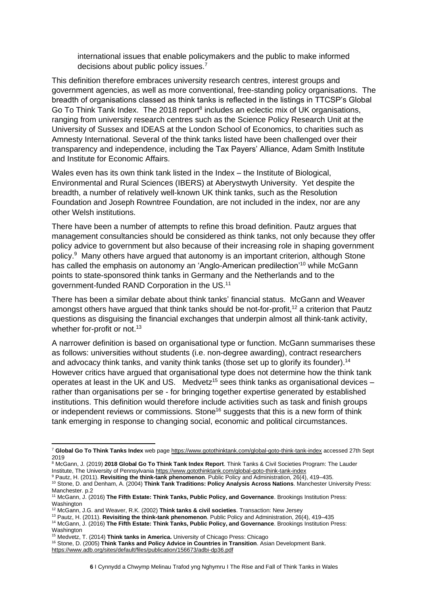international issues that enable policymakers and the public to make informed decisions about public policy issues.<sup>7</sup>

This definition therefore embraces university research centres, interest groups and government agencies, as well as more conventional, free-standing policy organisations. The breadth of organisations classed as think tanks is reflected in the listings in TTCSP's Global Go To Think Tank Index. The 2018 report<sup>8</sup> includes an eclectic mix of UK organisations, ranging from university research centres such as the Science Policy Research Unit at the University of Sussex and IDEAS at the London School of Economics, to charities such as Amnesty International. Several of the think tanks listed have been challenged over their transparency and independence, including the Tax Payers' Alliance, Adam Smith Institute and Institute for Economic Affairs.

Wales even has its own think tank listed in the Index – the Institute of Biological, Environmental and Rural Sciences (IBERS) at Aberystwyth University. Yet despite the breadth, a number of relatively well-known UK think tanks, such as the Resolution Foundation and Joseph Rowntree Foundation, are not included in the index, nor are any other Welsh institutions.

There have been a number of attempts to refine this broad definition. Pautz argues that management consultancies should be considered as think tanks, not only because they offer policy advice to government but also because of their increasing role in shaping government policy.<sup>9</sup> Many others have argued that autonomy is an important criterion, although Stone has called the emphasis on autonomy an 'Anglo-American predilection'<sup>10</sup> while McGann points to state-sponsored think tanks in Germany and the Netherlands and to the government-funded RAND Corporation in the US.<sup>11</sup>

There has been a similar debate about think tanks' financial status. McGann and Weaver amongst others have argued that think tanks should be not-for-profit,<sup>12</sup> a criterion that Pautz questions as disguising the financial exchanges that underpin almost all think-tank activity, whether for-profit or not.<sup>13</sup>

A narrower definition is based on organisational type or function. McGann summarises these as follows: universities without students (i.e. non-degree awarding), contract researchers and advocacy think tanks, and vanity think tanks (those set up to glorify its founder).<sup>14</sup> However critics have argued that organisational type does not determine how the think tank operates at least in the UK and US. Medvetz<sup>15</sup> sees think tanks as organisational devices – rather than organisations per se - for bringing together expertise generated by established institutions. This definition would therefore include activities such as task and finish groups or independent reviews or commissions. Stone<sup>16</sup> suggests that this is a new form of think tank emerging in response to changing social, economic and political circumstances.

<sup>13</sup> Pautz, H. (2011). **Revisiting the think-tank phenomenon**. Public Policy and Administration, 26(4), 419–435

<sup>7</sup> **Global Go To Think Tanks Index** web pag[e https://www.gotothinktank.com/global-goto-think-tank-index](https://www.gotothinktank.com/global-goto-think-tank-index) accessed 27th Sept 2019

<sup>8</sup> McGann, J. (2019) **2018 Global Go To Think Tank Index Report**. Think Tanks & Civil Societies Program: The Lauder Institute, The University of Pennsylvani[a https://www.gotothinktank.com/global-goto-think-tank-index](https://www.gotothinktank.com/global-goto-think-tank-index)

<sup>9</sup> Pautz, H. (2011). **Revisiting the think-tank phenomenon**. Public Policy and Administration, 26(4), 419–435. <sup>10</sup> Stone, D. and Denham, A. (2004) **Think Tank Traditions: Policy Analysis Across Nations**. Manchester University Press: Manchester. p.2

<sup>11</sup> McGann, J. (2016) **The Fifth Estate: Think Tanks, Public Policy, and Governance**. Brookings Institution Press: Washington

<sup>12</sup> McGann, J.G. and Weaver, R.K. (2002) **Think tanks & civil societies**. Transaction: New Jersey

<sup>&</sup>lt;sup>14</sup> McGann, J. (2016) The Fifth Estate: Think Tanks, Public Policy, and Governance. Brookings Institution Press: Washington

<sup>15</sup> Medvetz, T. (2014) **Think tanks in America.** University of Chicago Press: Chicago

<sup>16</sup> Stone, D. (2005) **Think Tanks and Policy Advice in Countries in Transition**. Asian Development Bank.

<https://www.adb.org/sites/default/files/publication/156673/adbi-dp36.pdf>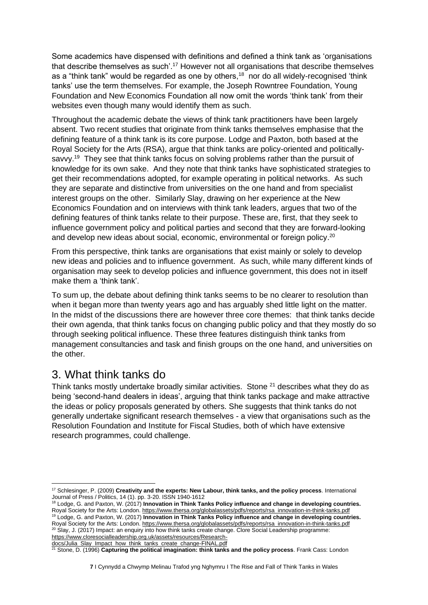Some academics have dispensed with definitions and defined a think tank as 'organisations that describe themselves as such'.<sup>17</sup> However not all organisations that describe themselves as a "think tank" would be regarded as one by others, $18$  nor do all widely-recognised 'think tanks' use the term themselves. For example, the Joseph Rowntree Foundation, Young Foundation and New Economics Foundation all now omit the words 'think tank' from their websites even though many would identify them as such.

Throughout the academic debate the views of think tank practitioners have been largely absent. Two recent studies that originate from think tanks themselves emphasise that the defining feature of a think tank is its core purpose. Lodge and Paxton, both based at the Royal Society for the Arts (RSA), argue that think tanks are policy-oriented and politicallysavvy.<sup>19</sup> They see that think tanks focus on solving problems rather than the pursuit of knowledge for its own sake. And they note that think tanks have sophisticated strategies to get their recommendations adopted, for example operating in political networks. As such they are separate and distinctive from universities on the one hand and from specialist interest groups on the other. Similarly Slay, drawing on her experience at the New Economics Foundation and on interviews with think tank leaders, argues that two of the defining features of think tanks relate to their purpose. These are, first, that they seek to influence government policy and political parties and second that they are forward-looking and develop new ideas about social, economic, environmental or foreign policy.<sup>20</sup>

From this perspective, think tanks are organisations that exist mainly or solely to develop new ideas and policies and to influence government. As such, while many different kinds of organisation may seek to develop policies and influence government, this does not in itself make them a 'think tank'.

To sum up, the debate about defining think tanks seems to be no clearer to resolution than when it began more than twenty years ago and has arguably shed little light on the matter. In the midst of the discussions there are however three core themes: that think tanks decide their own agenda, that think tanks focus on changing public policy and that they mostly do so through seeking political influence. These three features distinguish think tanks from management consultancies and task and finish groups on the one hand, and universities on the other.

## <span id="page-6-0"></span>3. What think tanks do

Think tanks mostly undertake broadly similar activities. Stone  $21$  describes what they do as being 'second-hand dealers in ideas', arguing that think tanks package and make attractive the ideas or policy proposals generated by others. She suggests that think tanks do not generally undertake significant research themselves - a view that organisations such as the Resolution Foundation and Institute for Fiscal Studies, both of which have extensive research programmes, could challenge.

<sup>18</sup> Lodge, G. and Paxton, W. (2017) **Innovation in Think Tanks Policy influence and change in developing countries.**  Royal Society for the Arts: London. [https://www.thersa.org/globalassets/pdfs/reports/rsa\\_innovation-in-think-tanks.pdf](https://www.thersa.org/globalassets/pdfs/reports/rsa_innovation-in-think-tanks.pdf) <sup>19</sup> Lodge, G. and Paxton, W. (2017) **Innovation in Think Tanks Policy influence and change in developing countries.**  Royal Society for the Arts: London. [https://www.thersa.org/globalassets/pdfs/reports/rsa\\_innovation-in-think-tanks.pdf](https://www.thersa.org/globalassets/pdfs/reports/rsa_innovation-in-think-tanks.pdf) <sup>20</sup> Slay, J. (2017) Impact: an enquiry into how think tanks create change. Clore Social Leadership programme:

[https://www.cloresocialleadership.org.uk/assets/resources/Research](https://www.cloresocialleadership.org.uk/assets/resources/Research-docs/Julia_Slay_Impact_how_think_tanks_create_change-FINAL.pdf)[docs/Julia\\_Slay\\_Impact\\_how\\_think\\_tanks\\_create\\_change-FINAL.pdf](https://www.cloresocialleadership.org.uk/assets/resources/Research-docs/Julia_Slay_Impact_how_think_tanks_create_change-FINAL.pdf)

<sup>17</sup> Schlesinger, P. (2009) **Creativity and the experts: New Labour, think tanks, and the policy process**. International Journal of Press / Politics, 14 (1). pp. 3-20. ISSN 1940-1612

<sup>21</sup> Stone, D. (1996) **Capturing the political imagination: think tanks and the policy process**. Frank Cass: London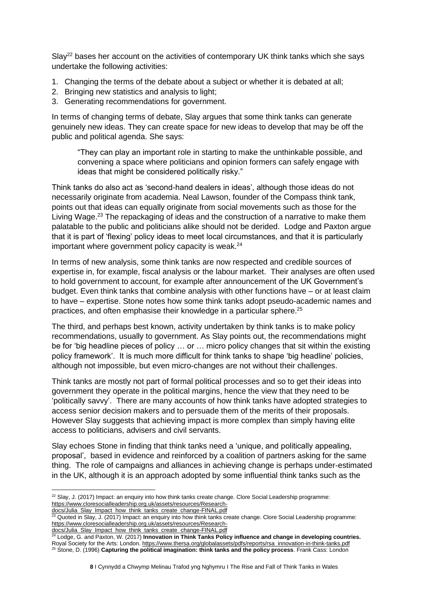Slay<sup>22</sup> bases her account on the activities of contemporary UK think tanks which she says undertake the following activities:

- 1. Changing the terms of the debate about a subject or whether it is debated at all;
- 2. Bringing new statistics and analysis to light:
- 3. Generating recommendations for government.

In terms of changing terms of debate, Slay argues that some think tanks can generate genuinely new ideas. They can create space for new ideas to develop that may be off the public and political agenda. She says:

"They can play an important role in starting to make the unthinkable possible, and convening a space where politicians and opinion formers can safely engage with ideas that might be considered politically risky."

Think tanks do also act as 'second-hand dealers in ideas', although those ideas do not necessarily originate from academia. Neal Lawson, founder of the Compass think tank, points out that ideas can equally originate from social movements such as those for the Living Wage.<sup>23</sup> The repackaging of ideas and the construction of a narrative to make them palatable to the public and politicians alike should not be derided. Lodge and Paxton argue that it is part of 'flexing' policy ideas to meet local circumstances, and that it is particularly important where government policy capacity is weak. $24$ 

In terms of new analysis, some think tanks are now respected and credible sources of expertise in, for example, fiscal analysis or the labour market. Their analyses are often used to hold government to account, for example after announcement of the UK Government's budget. Even think tanks that combine analysis with other functions have – or at least claim to have – expertise. Stone notes how some think tanks adopt pseudo-academic names and practices, and often emphasise their knowledge in a particular sphere.<sup>25</sup>

The third, and perhaps best known, activity undertaken by think tanks is to make policy recommendations, usually to government. As Slay points out, the recommendations might be for 'big headline pieces of policy … or … micro policy changes that sit within the existing policy framework'. It is much more difficult for think tanks to shape 'big headline' policies, although not impossible, but even micro-changes are not without their challenges.

Think tanks are mostly not part of formal political processes and so to get their ideas into government they operate in the political margins, hence the view that they need to be 'politically savvy'. There are many accounts of how think tanks have adopted strategies to access senior decision makers and to persuade them of the merits of their proposals. However Slay suggests that achieving impact is more complex than simply having elite access to politicians, advisers and civil servants.

Slay echoes Stone in finding that think tanks need a 'unique, and politically appealing, proposal', based in evidence and reinforced by a coalition of partners asking for the same thing. The role of campaigns and alliances in achieving change is perhaps under-estimated in the UK, although it is an approach adopted by some influential think tanks such as the

<sup>&</sup>lt;sup>22</sup> Slay, J. (2017) Impact: an enquiry into how think tanks create change. Clore Social Leadership programme: [https://www.cloresocialleadership.org.uk/assets/resources/Research-](https://www.cloresocialleadership.org.uk/assets/resources/Research-docs/Julia_Slay_Impact_how_think_tanks_create_change-FINAL.pdf)

[docs/Julia\\_Slay\\_Impact\\_how\\_think\\_tanks\\_create\\_change-FINAL.pdf](https://www.cloresocialleadership.org.uk/assets/resources/Research-docs/Julia_Slay_Impact_how_think_tanks_create_change-FINAL.pdf)

 $^{23}$  Quoted in Slay, J. (2017) Impact: an enquiry into how think tanks create change. Clore Social Leadership programme: [https://www.cloresocialleadership.org.uk/assets/resources/Research-](https://www.cloresocialleadership.org.uk/assets/resources/Research-docs/Julia_Slay_Impact_how_think_tanks_create_change-FINAL.pdf)

[docs/Julia\\_Slay\\_Impact\\_how\\_think\\_tanks\\_create\\_change-FINAL.pdf](https://www.cloresocialleadership.org.uk/assets/resources/Research-docs/Julia_Slay_Impact_how_think_tanks_create_change-FINAL.pdf)<br>24 Lodge\_C\_and Dovton\_M\_(0047) Linux is create\_change-FINAL.pdf

<sup>24</sup> Lodge, G. and Paxton, W. (2017) **Innovation in Think Tanks Policy influence and change in developing countries.**  Royal Society for the Arts: London. [https://www.thersa.org/globalassets/pdfs/reports/rsa\\_innovation-in-think-tanks.pdf](https://www.thersa.org/globalassets/pdfs/reports/rsa_innovation-in-think-tanks.pdf) <sup>25</sup> Stone, D. (1996) **Capturing the political imagination: think tanks and the policy process**. Frank Cass: London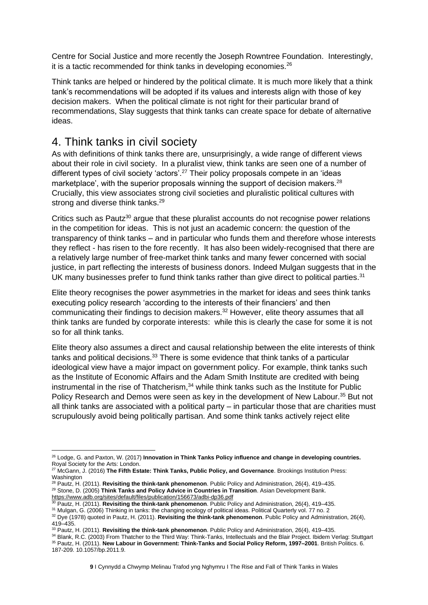Centre for Social Justice and more recently the Joseph Rowntree Foundation. Interestingly, it is a tactic recommended for think tanks in developing economies.<sup>26</sup>

Think tanks are helped or hindered by the political climate. It is much more likely that a think tank's recommendations will be adopted if its values and interests align with those of key decision makers. When the political climate is not right for their particular brand of recommendations, Slay suggests that think tanks can create space for debate of alternative ideas.

## <span id="page-8-0"></span>4. Think tanks in civil society

As with definitions of think tanks there are, unsurprisingly, a wide range of different views about their role in civil society. In a pluralist view, think tanks are seen one of a number of different types of civil society 'actors'.<sup>27</sup> Their policy proposals compete in an 'ideas marketplace', with the superior proposals winning the support of decision makers.<sup>28</sup> Crucially, this view associates strong civil societies and pluralistic political cultures with strong and diverse think tanks.<sup>29</sup>

Critics such as Pautz<sup>30</sup> argue that these pluralist accounts do not recognise power relations in the competition for ideas. This is not just an academic concern: the question of the transparency of think tanks – and in particular who funds them and therefore whose interests they reflect - has risen to the fore recently. It has also been widely-recognised that there are a relatively large number of free-market think tanks and many fewer concerned with social justice, in part reflecting the interests of business donors. Indeed Mulgan suggests that in the UK many businesses prefer to fund think tanks rather than give direct to political parties.<sup>31</sup>

Elite theory recognises the power asymmetries in the market for ideas and sees think tanks executing policy research 'according to the interests of their financiers' and then communicating their findings to decision makers.<sup>32</sup> However, elite theory assumes that all think tanks are funded by corporate interests: while this is clearly the case for some it is not so for all think tanks.

Elite theory also assumes a direct and causal relationship between the elite interests of think tanks and political decisions.<sup>33</sup> There is some evidence that think tanks of a particular ideological view have a major impact on government policy. For example, think tanks such as the Institute of Economic Affairs and the Adam Smith Institute are credited with being instrumental in the rise of Thatcherism,<sup>34</sup> while think tanks such as the Institute for Public Policy Research and Demos were seen as key in the development of New Labour.<sup>35</sup> But not all think tanks are associated with a political party – in particular those that are charities must scrupulously avoid being politically partisan. And some think tanks actively reject elite

<sup>26</sup> Lodge, G. and Paxton, W. (2017) **Innovation in Think Tanks Policy influence and change in developing countries.**  Royal Society for the Arts: London.

<sup>27</sup> McGann, J. (2016) **The Fifth Estate: Think Tanks, Public Policy, and Governance**. Brookings Institution Press: Washington

<sup>28</sup> Pautz, H. (2011). **Revisiting the think-tank phenomenon**. Public Policy and Administration, 26(4), 419–435. <sup>29</sup> Stone, D. (2005) **Think Tanks and Policy Advice in Countries in Transition**. Asian Development Bank. <https://www.adb.org/sites/default/files/publication/156673/adbi-dp36.pdf>

<sup>30</sup> Pautz, H. (2011). **Revisiting the think-tank phenomenon**. Public Policy and Administration, 26(4), 419–435.

<sup>31</sup> Mulgan, G. (2006) Thinking in tanks: the changing ecology of political ideas. Political Quarterly vol. 77 no. 2

<sup>32</sup> Dye (1978) quoted in Pautz, H. (2011). **Revisiting the think-tank phenomenon**. Public Policy and Administration, 26(4), 419–435.

<sup>33</sup> Pautz, H. (2011). **Revisiting the think-tank phenomenon**. Public Policy and Administration, 26(4), 419–435.

<sup>34</sup> Blank, R.C. (2003) From Thatcher to the Third Way: Think-Tanks, Intellectuals and the Blair Project. Ibidem Verlag: Stuttgart <sup>35</sup> Pautz, H. (2011). **New Labour in Government: Think-Tanks and Social Policy Reform, 1997–2001**. British Politics. 6. 187-209. 10.1057/bp.2011.9.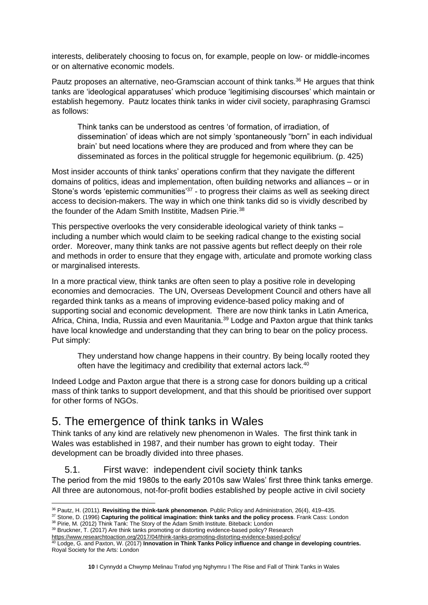interests, deliberately choosing to focus on, for example, people on low- or middle-incomes or on alternative economic models.

Pautz proposes an alternative, neo-Gramscian account of think tanks.<sup>36</sup> He argues that think tanks are 'ideological apparatuses' which produce 'legitimising discourses' which maintain or establish hegemony. Pautz locates think tanks in wider civil society, paraphrasing Gramsci as follows:

Think tanks can be understood as centres 'of formation, of irradiation, of dissemination' of ideas which are not simply 'spontaneously "born" in each individual brain' but need locations where they are produced and from where they can be disseminated as forces in the political struggle for hegemonic equilibrium. (p. 425)

Most insider accounts of think tanks' operations confirm that they navigate the different domains of politics, ideas and implementation, often building networks and alliances – or in Stone's words 'epistemic communities'<sup>37</sup> - to progress their claims as well as seeking direct access to decision-makers. The way in which one think tanks did so is vividly described by the founder of the Adam Smith Institite, Madsen Pirie.<sup>38</sup>

This perspective overlooks the very considerable ideological variety of think tanks – including a number which would claim to be seeking radical change to the existing social order. Moreover, many think tanks are not passive agents but reflect deeply on their role and methods in order to ensure that they engage with, articulate and promote working class or marginalised interests.

In a more practical view, think tanks are often seen to play a positive role in developing economies and democracies. The UN, Overseas Development Council and others have all regarded think tanks as a means of improving evidence-based policy making and of supporting social and economic development. There are now think tanks in Latin America, Africa, China, India, Russia and even Mauritania.<sup>39</sup> Lodge and Paxton argue that think tanks have local knowledge and understanding that they can bring to bear on the policy process. Put simply:

They understand how change happens in their country. By being locally rooted they often have the legitimacy and credibility that external actors lack.<sup>40</sup>

Indeed Lodge and Paxton argue that there is a strong case for donors building up a critical mass of think tanks to support development, and that this should be prioritised over support for other forms of NGOs.

## <span id="page-9-0"></span>5. The emergence of think tanks in Wales

Think tanks of any kind are relatively new phenomenon in Wales. The first think tank in Wales was established in 1987, and their number has grown to eight today. Their development can be broadly divided into three phases.

#### 5.1. First wave: independent civil society think tanks

<span id="page-9-1"></span>The period from the mid 1980s to the early 2010s saw Wales' first three think tanks emerge. All three are autonomous, not-for-profit bodies established by people active in civil society

<sup>36</sup> Pautz, H. (2011). **Revisiting the think-tank phenomenon**. Public Policy and Administration, 26(4), 419–435.

<sup>37</sup> Stone, D. (1996) **Capturing the political imagination: think tanks and the policy process**. Frank Cass: London 38 Pirie, M. (2012) Think Tank: The Story of the Adam Smith Institute. Biteback: London

<sup>&</sup>lt;sup>39</sup> Bruckner, T. (2017) Are think tanks promoting or distorting evidence-based policy? Research

<https://www.researchtoaction.org/2017/04/think-tanks-promoting-distorting-evidence-based-policy/>

<sup>40</sup> Lodge, G. and Paxton, W. (2017) **Innovation in Think Tanks Policy influence and change in developing countries.**  Royal Society for the Arts: London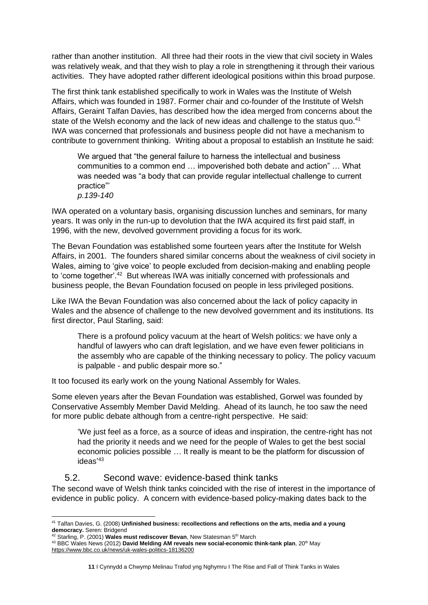rather than another institution. All three had their roots in the view that civil society in Wales was relatively weak, and that they wish to play a role in strengthening it through their various activities. They have adopted rather different ideological positions within this broad purpose.

The first think tank established specifically to work in Wales was the Institute of Welsh Affairs, which was founded in 1987. Former chair and co-founder of the Institute of Welsh Affairs, Geraint Talfan Davies, has described how the idea merged from concerns about the state of the Welsh economy and the lack of new ideas and challenge to the status quo.<sup>41</sup> IWA was concerned that professionals and business people did not have a mechanism to contribute to government thinking. Writing about a proposal to establish an Institute he said:

We argued that "the general failure to harness the intellectual and business communities to a common end … impoverished both debate and action" … What was needed was "a body that can provide regular intellectual challenge to current practice"' *p.139-140*

IWA operated on a voluntary basis, organising discussion lunches and seminars, for many years. It was only in the run-up to devolution that the IWA acquired its first paid staff, in 1996, with the new, devolved government providing a focus for its work.

The Bevan Foundation was established some fourteen years after the Institute for Welsh Affairs, in 2001. The founders shared similar concerns about the weakness of civil society in Wales, aiming to 'give voice' to people excluded from decision-making and enabling people to 'come together'.<sup>42</sup> But whereas IWA was initially concerned with professionals and business people, the Bevan Foundation focused on people in less privileged positions.

Like IWA the Bevan Foundation was also concerned about the lack of policy capacity in Wales and the absence of challenge to the new devolved government and its institutions. Its first director, Paul Starling, said:

There is a profound policy vacuum at the heart of Welsh politics: we have only a handful of lawyers who can draft legislation, and we have even fewer politicians in the assembly who are capable of the thinking necessary to policy. The policy vacuum is palpable - and public despair more so."

It too focused its early work on the young National Assembly for Wales.

Some eleven years after the Bevan Foundation was established, Gorwel was founded by Conservative Assembly Member David Melding. Ahead of its launch, he too saw the need for more public debate although from a centre-right perspective. He said:

'We just feel as a force, as a source of ideas and inspiration, the centre-right has not had the priority it needs and we need for the people of Wales to get the best social economic policies possible … It really is meant to be the platform for discussion of ideas' 43

#### 5.2. Second wave: evidence-based think tanks

<span id="page-10-0"></span>The second wave of Welsh think tanks coincided with the rise of interest in the importance of evidence in public policy. A concern with evidence-based policy-making dates back to the

<sup>41</sup> Talfan Davies, G. (2008) **Unfinished business: recollections and reflections on the arts, media and a young democracy.** Seren: Bridgend

<sup>42</sup> Starling, P. (2001) **Wales must rediscover Bevan**, New Statesman 5th March

<sup>&</sup>lt;sup>43</sup> BBC Wales News (2012) David Melding AM reveals new social-economic think-tank plan, 20<sup>th</sup> May <https://www.bbc.co.uk/news/uk-wales-politics-18136200>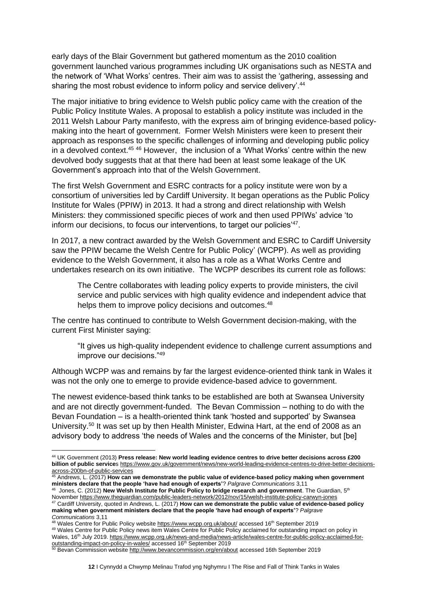early days of the Blair Government but gathered momentum as the 2010 coalition government launched various programmes including UK organisations such as NESTA and the network of 'What Works' centres. Their aim was to assist the 'gathering, assessing and sharing the most robust evidence to inform policy and service delivery'.<sup>44</sup>

The major initiative to bring evidence to Welsh public policy came with the creation of the Public Policy Institute Wales. A proposal to establish a policy institute was included in the 2011 Welsh Labour Party manifesto, with the express aim of bringing evidence-based policymaking into the heart of government. Former Welsh Ministers were keen to present their approach as responses to the specific challenges of informing and developing public policy in a devolved context.<sup>45</sup> <sup>46</sup> However, the inclusion of a 'What Works' centre within the new devolved body suggests that at that there had been at least some leakage of the UK Government's approach into that of the Welsh Government.

The first Welsh Government and ESRC contracts for a policy institute were won by a consortium of universities led by Cardiff University. It began operations as the Public Policy Institute for Wales (PPIW) in 2013. It had a strong and direct relationship with Welsh Ministers: they commissioned specific pieces of work and then used PPIWs' advice 'to inform our decisions, to focus our interventions, to target our policies<sup>'47</sup>.

In 2017, a new contract awarded by the Welsh Government and ESRC to Cardiff University saw the PPIW became the Welsh Centre for Public Policy' (WCPP). As well as providing evidence to the Welsh Government, it also has a role as a What Works Centre and undertakes research on its own initiative. The WCPP describes its current role as follows:

The Centre collaborates with leading policy experts to provide ministers, the civil service and public services with high quality evidence and independent advice that helps them to improve policy decisions and outcomes.<sup>48</sup>

The centre has continued to contribute to Welsh Government decision-making, with the current First Minister saying:

"It gives us high-quality independent evidence to challenge current assumptions and improve our decisions."<sup>49</sup>

Although WCPP was and remains by far the largest evidence-oriented think tank in Wales it was not the only one to emerge to provide evidence-based advice to government.

The newest evidence-based think tanks to be established are both at Swansea University and are not directly government-funded. The Bevan Commission – nothing to do with the Bevan Foundation – is a health-oriented think tank 'hosted and supported' by Swansea University.<sup>50</sup> It was set up by then Health Minister, Edwina Hart, at the end of 2008 as an advisory body to address 'the needs of Wales and the concerns of the Minister, but [be]

<sup>44</sup> UK Government (2013) **Press release: New world leading evidence centres to drive better decisions across £200 billion of public service**s [https://www.gov.uk/government/news/new-world-leading-evidence-centres-to-drive-better-decisions](https://www.gov.uk/government/news/new-world-leading-evidence-centres-to-drive-better-decisions-across-200bn-of-public-services)[across-200bn-of-public-services](https://www.gov.uk/government/news/new-world-leading-evidence-centres-to-drive-better-decisions-across-200bn-of-public-services)

<sup>&</sup>lt;sup>5</sup> Andrews, L. (2017) **How can we demonstrate the public value of evidence-based policy making when government ministers declare that the people 'have had enough of experts'**? *Palgrave Communications* 3,11

<sup>46</sup> Jones, C. (2012) **New Welsh Institute for Public Policy to bridge research and government**. The Guardian, 5th November<https://www.theguardian.com/public-leaders-network/2012/nov/15/welsh-institute-policy-carwyn-jones> <sup>47</sup> Cardiff University, quoted in Andrews, L. (2017) **How can we demonstrate the public value of evidence-based policy making when government ministers declare that the people 'have had enough of experts'**? *Palgrave Communications* 3,11

<sup>48</sup> Wales Centre for Public Policy website<https://www.wcpp.org.uk/about/> accessed 16<sup>th</sup> September 2019

<sup>49</sup> Wales Centre for Public Policy news item Wales Centre for Public Policy acclaimed for outstanding impact on policy in Wales, 16<sup>th</sup> July 2019[. https://www.wcpp.org.uk/news-and-media/news-article/wales-centre-for-public-policy-acclaimed-for](https://www.wcpp.org.uk/news-and-media/news-article/wales-centre-for-public-policy-acclaimed-for-outstanding-impact-on-policy-in-wales/)[outstanding-impact-on-policy-in-wales/](https://www.wcpp.org.uk/news-and-media/news-article/wales-centre-for-public-policy-acclaimed-for-outstanding-impact-on-policy-in-wales/) accessed 16<sup>th</sup> September 2019

<sup>&</sup>lt;sup>50</sup> Bevan Commission websit[e http://www.bevancommission.org/en/about](http://www.bevancommission.org/en/about) accessed 16th September 2019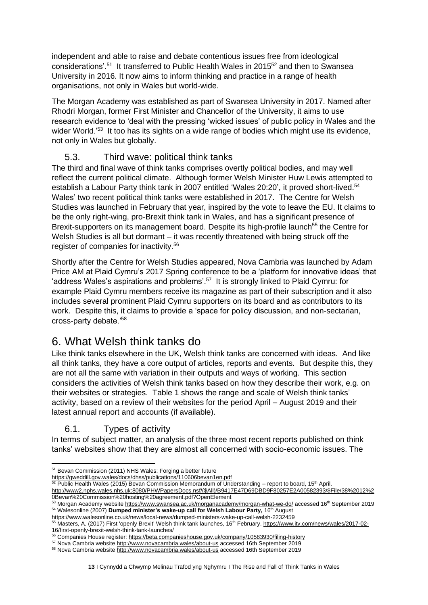independent and able to raise and debate contentious issues free from ideological considerations'.<sup>51</sup> It transferred to Public Health Wales in 2015<sup>52</sup> and then to Swansea University in 2016. It now aims to inform thinking and practice in a range of health organisations, not only in Wales but world-wide.

The Morgan Academy was established as part of Swansea University in 2017. Named after Rhodri Morgan, former First Minister and Chancellor of the University, it aims to use research evidence to 'deal with the pressing 'wicked issues' of public policy in Wales and the wider World.<sup>'53</sup> It too has its sights on a wide range of bodies which might use its evidence, not only in Wales but globally.

## 5.3. Third wave: political think tanks

<span id="page-12-0"></span>The third and final wave of think tanks comprises overtly political bodies, and may well reflect the current political climate. Although former Welsh Minister Huw Lewis attempted to establish a Labour Party think tank in 2007 entitled 'Wales 20:20', it proved short-lived.<sup>54</sup> Wales' two recent political think tanks were established in 2017. The Centre for Welsh Studies was launched in February that year, inspired by the vote to leave the EU. It claims to be the only right-wing, pro-Brexit think tank in Wales, and has a significant presence of Brexit-supporters on its management board. Despite its high-profile launch<sup>55</sup> the Centre for Welsh Studies is all but dormant – it was recently threatened with being struck off the register of companies for inactivity.<sup>56</sup>

Shortly after the Centre for Welsh Studies appeared, Nova Cambria was launched by Adam Price AM at Plaid Cymru's 2017 Spring conference to be a 'platform for innovative ideas' that 'address Wales's aspirations and problems'. 57 It is strongly linked to Plaid Cymru: for example Plaid Cymru members receive its magazine as part of their subscription and it also includes several prominent Plaid Cymru supporters on its board and as contributors to its work. Despite this, it claims to provide a 'space for policy discussion, and non-sectarian, cross-party debate.'<sup>58</sup>

# <span id="page-12-1"></span>6. What Welsh think tanks do

Like think tanks elsewhere in the UK, Welsh think tanks are concerned with ideas. And like all think tanks, they have a core output of articles, reports and events. But despite this, they are not all the same with variation in their outputs and ways of working. This section considers the activities of Welsh think tanks based on how they describe their work, e.g. on their websites or strategies. Table 1 shows the range and scale of Welsh think tanks' activity, based on a review of their websites for the period April – August 2019 and their latest annual report and accounts (if available).

## 6.1. Types of activity

<span id="page-12-2"></span>In terms of subject matter, an analysis of the three most recent reports published on think tanks' websites show that they are almost all concerned with socio-economic issues. The

<sup>51</sup> Bevan Commission (2011) NHS Wales: Forging a better future

<https://gweddill.gov.wales/docs/dhss/publications/110606bevan1en.pdf>

 $52$  Public Health Wales (2015) Bevan Commission Memorandum of Understanding – report to board, 15<sup>th</sup> April.

[http://www2.nphs.wales.nhs.uk:8080/PHWPapersDocs.nsf/\(\\$All\)/B9417E47D69DBD9F80257E2A00582393/\\$File/38%2012%2](http://www2.nphs.wales.nhs.uk:8080/PHWPapersDocs.nsf/($All)/B9417E47D69DBD9F80257E2A00582393/$File/38%2012%20Bevan%20Commission%20hosting%20agreement.pdf?OpenElement) [0Bevan%20Commission%20hosting%20agreement.pdf?OpenElement](http://www2.nphs.wales.nhs.uk:8080/PHWPapersDocs.nsf/($All)/B9417E47D69DBD9F80257E2A00582393/$File/38%2012%20Bevan%20Commission%20hosting%20agreement.pdf?OpenElement)

Morgan Academy website<https://www.swansea.ac.uk/morganacademy/morgan-what-we-do/> accessed 16<sup>th</sup> September 2019 <sup>54</sup> Walesonline (2007) **Dumped minister's wake-up call for Welsh Labour Party,** 16th August

https://www.walesonline.co.uk/news/dumped-ministers-wake-up-call-welsh-2232459

<sup>&</sup>lt;sup>5</sup> Masters, A. (2017) First 'openly Brexit' Welsh think tank launches, 16<sup>th</sup> February[. https://www.itv.com/news/wales/2017-02-](https://www.itv.com/news/wales/2017-02-16/first-openly-brexit-welsh-think-tank-launches/) [16/first-openly-brexit-welsh-think-tank-launches/](https://www.itv.com/news/wales/2017-02-16/first-openly-brexit-welsh-think-tank-launches/)

<sup>56</sup> Companies House register:<https://beta.companieshouse.gov.uk/company/10583930/filing-history>

<sup>57</sup> Nova Cambria websit[e http://www.novacambria.wales/about-us](http://www.novacambria.wales/about-us) accessed 16th September 2019

<sup>58</sup> Nova Cambria websit[e http://www.novacambria.wales/about-us](http://www.novacambria.wales/about-us) accessed 16th September 2019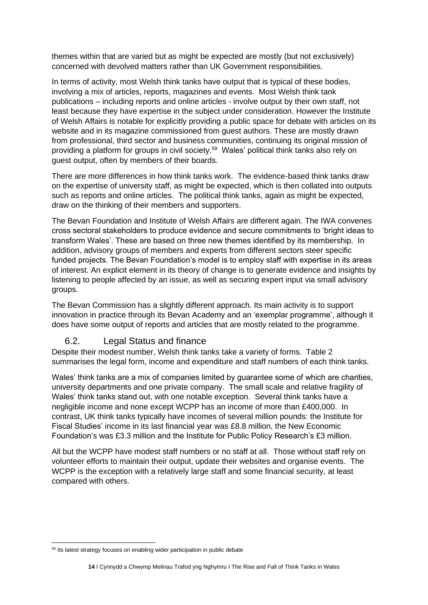themes within that are varied but as might be expected are mostly (but not exclusively) concerned with devolved matters rather than UK Government responsibilities.

In terms of activity, most Welsh think tanks have output that is typical of these bodies, involving a mix of articles, reports, magazines and events. Most Welsh think tank publications – including reports and online articles - involve output by their own staff, not least because they have expertise in the subject under consideration. However the Institute of Welsh Affairs is notable for explicitly providing a public space for debate with articles on its website and in its magazine commissioned from guest authors. These are mostly drawn from professional, third sector and business communities, continuing its original mission of providing a platform for groups in civil society.<sup>59</sup> Wales' political think tanks also rely on guest output, often by members of their boards.

There are more differences in how think tanks work. The evidence-based think tanks draw on the expertise of university staff, as might be expected, which is then collated into outputs such as reports and online articles. The political think tanks, again as might be expected, draw on the thinking of their members and supporters.

The Bevan Foundation and Institute of Welsh Affairs are different again. The IWA convenes cross sectoral stakeholders to produce evidence and secure commitments to 'bright ideas to transform Wales'. These are based on three new themes identified by its membership. In addition, advisory groups of members and experts from different sectors steer specific funded projects. The Bevan Foundation's model is to employ staff with expertise in its areas of interest. An explicit element in its theory of change is to generate evidence and insights by listening to people affected by an issue, as well as securing expert input via small advisory groups.

The Bevan Commission has a slightly different approach. Its main activity is to support innovation in practice through its Bevan Academy and an 'exemplar programme', although it does have some output of reports and articles that are mostly related to the programme.

#### 6.2. Legal Status and finance

<span id="page-13-0"></span>Despite their modest number, Welsh think tanks take a variety of forms. Table 2 summarises the legal form, income and expenditure and staff numbers of each think tanks.

Wales' think tanks are a mix of companies limited by guarantee some of which are charities, university departments and one private company. The small scale and relative fragility of Wales' think tanks stand out, with one notable exception. Several think tanks have a negligible income and none except WCPP has an income of more than £400,000. In contrast, UK think tanks typically have incomes of several million pounds: the Institute for Fiscal Studies' income in its last financial year was £8.8 million, the New Economic Foundation's was £3.3 million and the Institute for Public Policy Research's £3 million.

All but the WCPP have modest staff numbers or no staff at all. Those without staff rely on volunteer efforts to maintain their output, update their websites and organise events. The WCPP is the exception with a relatively large staff and some financial security, at least compared with others.

<sup>&</sup>lt;sup>59</sup> Its latest strategy focuses on enabling wider participation in public debate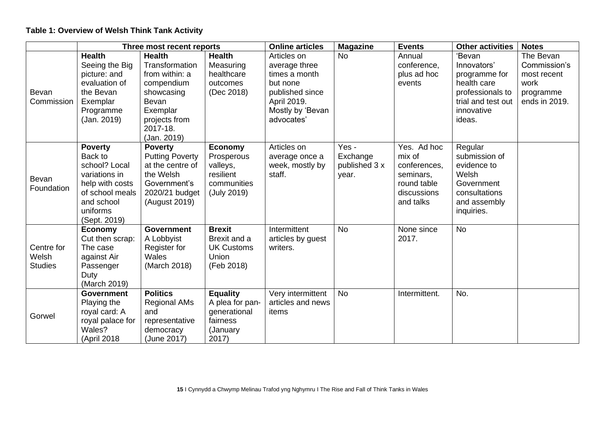#### **Table 1: Overview of Welsh Think Tank Activity**

|                                       | Three most recent reports                                                                                                                   |                                                                                                                                                |                                                                                     | <b>Online articles</b>                                                                                                        | <b>Magazine</b>                             | <b>Events</b>                                                                                 | <b>Other activities</b>                                                                                                 | <b>Notes</b>                                                                   |
|---------------------------------------|---------------------------------------------------------------------------------------------------------------------------------------------|------------------------------------------------------------------------------------------------------------------------------------------------|-------------------------------------------------------------------------------------|-------------------------------------------------------------------------------------------------------------------------------|---------------------------------------------|-----------------------------------------------------------------------------------------------|-------------------------------------------------------------------------------------------------------------------------|--------------------------------------------------------------------------------|
| Bevan<br>Commission                   | <b>Health</b><br>Seeing the Big<br>picture: and<br>evaluation of<br>the Bevan<br>Exemplar<br>Programme<br>(Jan. 2019)                       | <b>Health</b><br>Transformation<br>from within: a<br>compendium<br>showcasing<br>Bevan<br>Exemplar<br>projects from<br>2017-18.<br>(Jan. 2019) | <b>Health</b><br>Measuring<br>healthcare<br>outcomes<br>(Dec 2018)                  | Articles on<br>average three<br>times a month<br>but none<br>published since<br>April 2019.<br>Mostly by 'Bevan<br>advocates' | <b>No</b>                                   | Annual<br>conference,<br>plus ad hoc<br>events                                                | 'Bevan<br>Innovators'<br>programme for<br>health care<br>professionals to<br>trial and test out<br>innovative<br>ideas. | The Bevan<br>Commission's<br>most recent<br>work<br>programme<br>ends in 2019. |
| Bevan<br>Foundation                   | <b>Poverty</b><br>Back to<br>school? Local<br>variations in<br>help with costs<br>of school meals<br>and school<br>uniforms<br>(Sept. 2019) | <b>Poverty</b><br><b>Putting Poverty</b><br>at the centre of<br>the Welsh<br>Government's<br>2020/21 budget<br>(August 2019)                   | <b>Economy</b><br>Prosperous<br>valleys,<br>resilient<br>communities<br>(July 2019) | Articles on<br>average once a<br>week, mostly by<br>staff.                                                                    | Yes -<br>Exchange<br>published 3 x<br>year. | Yes. Ad hoc<br>mix of<br>conferences,<br>seminars,<br>round table<br>discussions<br>and talks | Regular<br>submission of<br>evidence to<br>Welsh<br>Government<br>consultations<br>and assembly<br>inquiries.           |                                                                                |
| Centre for<br>Welsh<br><b>Studies</b> | <b>Economy</b><br>Cut then scrap:<br>The case<br>against Air<br>Passenger<br>Duty<br>(March 2019)                                           | <b>Government</b><br>A Lobbyist<br>Register for<br>Wales<br>(March 2018)                                                                       | <b>Brexit</b><br>Brexit and a<br><b>UK Customs</b><br>Union<br>(Feb 2018)           | Intermittent<br>articles by guest<br>writers.                                                                                 | <b>No</b>                                   | None since<br>2017.                                                                           | <b>No</b>                                                                                                               |                                                                                |
| Gorwel                                | <b>Government</b><br>Playing the<br>royal card: A<br>royal palace for<br>Wales?<br>(April 2018                                              | <b>Politics</b><br><b>Regional AMs</b><br>and<br>representative<br>democracy<br>(June 2017)                                                    | <b>Equality</b><br>A plea for pan-<br>generational<br>fairness<br>(January<br>2017) | Very intermittent<br>articles and news<br>items                                                                               | <b>No</b>                                   | Intermittent.                                                                                 | No.                                                                                                                     |                                                                                |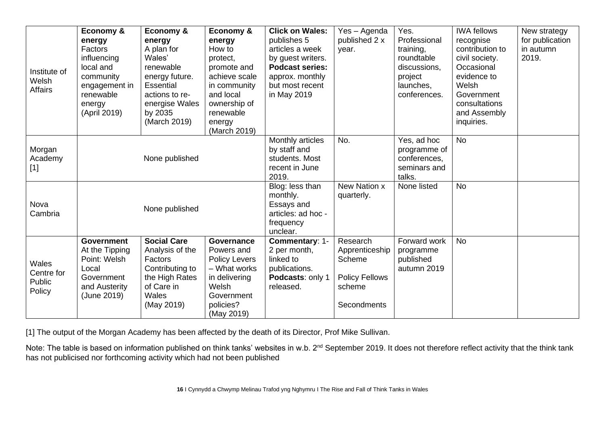| Institute of<br>Welsh<br><b>Affairs</b>        | Economy &<br>energy<br>Factors<br>influencing<br>local and<br>community<br>engagement in<br>renewable<br>energy<br>(April 2019) | Economy &<br>energy<br>A plan for<br>Wales'<br>renewable<br>energy future.<br><b>Essential</b><br>actions to re-<br>energise Wales<br>by 2035<br>(March 2019) | Economy &<br>energy<br>How to<br>protect,<br>promote and<br>achieve scale<br>in community<br>and local<br>ownership of<br>renewable<br>energy<br>(March 2019) | <b>Click on Wales:</b><br>publishes 5<br>articles a week<br>by guest writers.<br><b>Podcast series:</b><br>approx. monthly<br>but most recent<br>in May 2019 | Yes - Agenda<br>published 2 x<br>year.                                                 | Yes.<br>Professional<br>training,<br>roundtable<br>discussions,<br>project<br>launches,<br>conferences. | <b>IWA fellows</b><br>recognise<br>contribution to<br>civil society.<br>Occasional<br>evidence to<br>Welsh<br>Government<br>consultations<br>and Assembly<br>inquiries. | New strategy<br>for publication<br>in autumn<br>2019. |
|------------------------------------------------|---------------------------------------------------------------------------------------------------------------------------------|---------------------------------------------------------------------------------------------------------------------------------------------------------------|---------------------------------------------------------------------------------------------------------------------------------------------------------------|--------------------------------------------------------------------------------------------------------------------------------------------------------------|----------------------------------------------------------------------------------------|---------------------------------------------------------------------------------------------------------|-------------------------------------------------------------------------------------------------------------------------------------------------------------------------|-------------------------------------------------------|
| Morgan<br>Academy<br>$[1]$                     |                                                                                                                                 | None published                                                                                                                                                |                                                                                                                                                               | Monthly articles<br>by staff and<br>students. Most<br>recent in June<br>2019.                                                                                | No.                                                                                    | Yes, ad hoc<br>programme of<br>conferences,<br>seminars and<br>talks.                                   | <b>No</b>                                                                                                                                                               |                                                       |
| Nova<br>Cambria                                | None published                                                                                                                  |                                                                                                                                                               |                                                                                                                                                               | Blog: less than<br>monthly.<br>Essays and<br>articles: ad hoc -<br>frequency<br>unclear.                                                                     | New Nation x<br>quarterly.                                                             | None listed                                                                                             | <b>No</b>                                                                                                                                                               |                                                       |
| <b>Wales</b><br>Centre for<br>Public<br>Policy | <b>Government</b><br>At the Tipping<br>Point: Welsh<br>Local<br>Government<br>and Austerity<br>(June 2019)                      | <b>Social Care</b><br>Analysis of the<br>Factors<br>Contributing to<br>the High Rates<br>of Care in<br>Wales<br>(May 2019)                                    | Governance<br>Powers and<br><b>Policy Levers</b><br>- What works<br>in delivering<br>Welsh<br>Government<br>policies?<br>(May 2019)                           | Commentary: 1-<br>2 per month,<br>linked to<br>publications.<br>Podcasts: only 1<br>released.                                                                | Research<br>Apprenticeship<br>Scheme<br><b>Policy Fellows</b><br>scheme<br>Secondments | Forward work<br>programme<br>published<br>autumn 2019                                                   | <b>No</b>                                                                                                                                                               |                                                       |

[1] The output of the Morgan Academy has been affected by the death of its Director, Prof Mike Sullivan.

Note: The table is based on information published on think tanks' websites in w.b. 2<sup>nd</sup> September 2019. It does not therefore reflect activity that the think tank has not publicised nor forthcoming activity which had not been published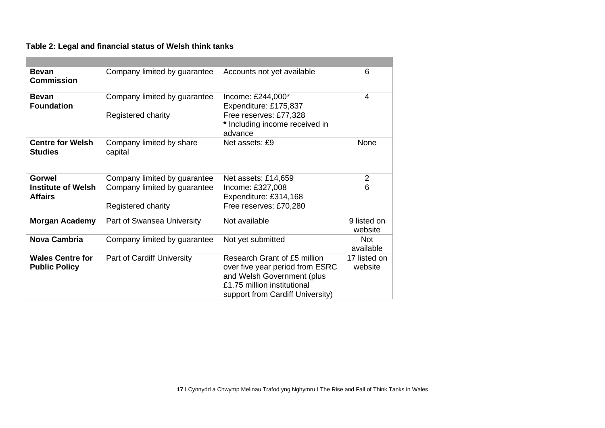#### **Table 2: Legal and financial status of Welsh think tanks**

| <b>Bevan</b><br><b>Commission</b>               | Company limited by guarantee                       | Accounts not yet available                                                                                                                                       | 6                       |
|-------------------------------------------------|----------------------------------------------------|------------------------------------------------------------------------------------------------------------------------------------------------------------------|-------------------------|
| <b>Bevan</b><br><b>Foundation</b>               | Company limited by guarantee<br>Registered charity | Income: £244,000*<br>Expenditure: £175,837<br>Free reserves: £77,328<br>* Including income received in<br>advance                                                | 4                       |
| <b>Centre for Welsh</b><br><b>Studies</b>       | Company limited by share<br>capital                | Net assets: £9                                                                                                                                                   | None                    |
| Gorwel                                          | Company limited by guarantee                       | Net assets: £14,659                                                                                                                                              | $\overline{2}$          |
| <b>Institute of Welsh</b><br><b>Affairs</b>     | Company limited by guarantee<br>Registered charity | Income: £327,008<br>Expenditure: £314,168<br>Free reserves: £70,280                                                                                              | 6                       |
| <b>Morgan Academy</b>                           | Part of Swansea University                         | Not available                                                                                                                                                    | 9 listed on<br>website  |
| <b>Nova Cambria</b>                             | Company limited by guarantee                       | Not yet submitted                                                                                                                                                | <b>Not</b><br>available |
| <b>Wales Centre for</b><br><b>Public Policy</b> | Part of Cardiff University                         | Research Grant of £5 million<br>over five year period from ESRC<br>and Welsh Government (plus<br>£1.75 million institutional<br>support from Cardiff University) | 17 listed on<br>website |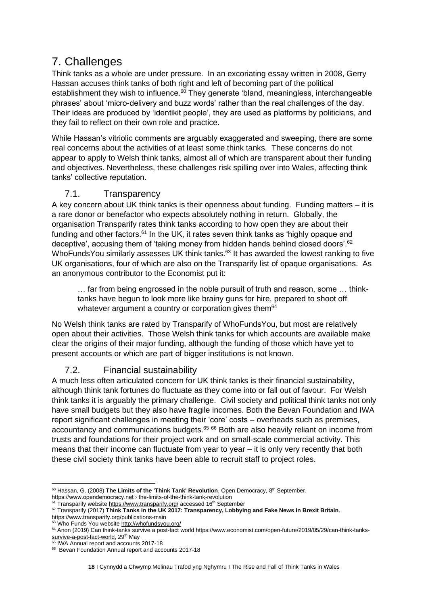# <span id="page-17-0"></span>7. Challenges

Think tanks as a whole are under pressure. In an excoriating essay written in 2008, Gerry Hassan accuses think tanks of both right and left of becoming part of the political establishment they wish to influence.<sup>60</sup> They generate 'bland, meaningless, interchangeable phrases' about 'micro-delivery and buzz words' rather than the real challenges of the day. Their ideas are produced by 'identikit people', they are used as platforms by politicians, and they fail to reflect on their own role and practice.

While Hassan's vitriolic comments are arguably exaggerated and sweeping, there are some real concerns about the activities of at least some think tanks. These concerns do not appear to apply to Welsh think tanks, almost all of which are transparent about their funding and objectives. Nevertheless, these challenges risk spilling over into Wales, affecting think tanks' collective reputation.

## 7.1. Transparency

<span id="page-17-1"></span>A key concern about UK think tanks is their openness about funding. Funding matters – it is a rare donor or benefactor who expects absolutely nothing in return. Globally, the organisation Transparify rates think tanks according to how open they are about their funding and other factors.<sup>61</sup> In the UK, it rates seven think tanks as 'highly opaque and deceptive', accusing them of 'taking money from hidden hands behind closed doors'.<sup>62</sup> WhoFundsYou similarly assesses UK think tanks.<sup>63</sup> It has awarded the lowest ranking to five UK organisations, four of which are also on the Transparify list of opaque organisations. As an anonymous contributor to the Economist put it:

… far from being engrossed in the noble pursuit of truth and reason, some … thinktanks have begun to look more like brainy guns for hire, prepared to shoot off whatever argument a country or corporation gives them<sup>64</sup>

No Welsh think tanks are rated by Transparify of WhoFundsYou, but most are relatively open about their activities. Those Welsh think tanks for which accounts are available make clear the origins of their major funding, although the funding of those which have yet to present accounts or which are part of bigger institutions is not known.

## 7.2. Financial sustainability

<span id="page-17-2"></span>A much less often articulated concern for UK think tanks is their financial sustainability, although think tank fortunes do fluctuate as they come into or fall out of favour. For Welsh think tanks it is arguably the primary challenge. Civil society and political think tanks not only have small budgets but they also have fragile incomes. Both the Bevan Foundation and IWA report significant challenges in meeting their 'core' costs – overheads such as premises, accountancy and communications budgets.<sup>65 66</sup> Both are also heavily reliant on income from trusts and foundations for their project work and on small-scale commercial activity. This means that their income can fluctuate from year to year – it is only very recently that both these civil society think tanks have been able to recruit staff to project roles.

<sup>&</sup>lt;sup>60</sup> Hassan, G. (2008) **The Limits of the 'Think Tank' Revolution**. Open Democracy, 8<sup>th</sup> September. https://www.opendemocracy.net › the-limits-of-the-think-tank-revolution

<sup>&</sup>lt;sup>61</sup> Transparify websit[e https://www.transparify.org/](https://www.transparify.org/) accessed 16<sup>th</sup> September

<sup>62</sup> Transparify (2017) **Think Tanks in the UK 2017: Transparency, Lobbying and Fake News in Brexit Britain**. <https://www.transparify.org/publications-main>

<sup>&</sup>lt;sup>3</sup> Who Funds You websit[e http://whofundsyou.org/](http://whofundsyou.org/)

<sup>64</sup> Anon (2019) Can think-tanks survive a post-fact worl[d https://www.economist.com/open-future/2019/05/29/can-think-tanks](https://www.economist.com/open-future/2019/05/29/can-think-tanks-survive-a-post-fact-world)[survive-a-post-fact-world,](https://www.economist.com/open-future/2019/05/29/can-think-tanks-survive-a-post-fact-world) 29<sup>th</sup> May

<sup>&</sup>lt;sup>65</sup> IWA Annual report and accounts 2017-18

<sup>66</sup> Bevan Foundation Annual report and accounts 2017-18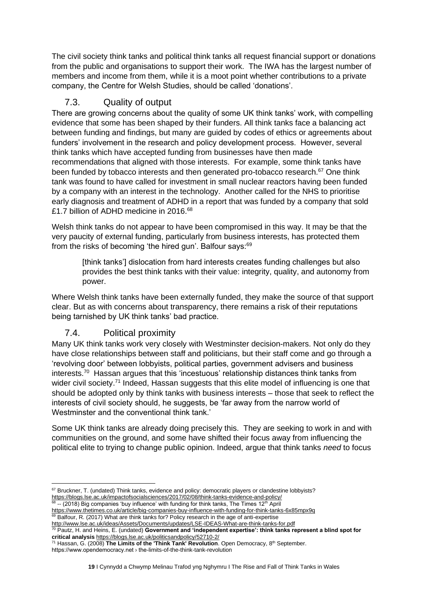The civil society think tanks and political think tanks all request financial support or donations from the public and organisations to support their work. The IWA has the largest number of members and income from them, while it is a moot point whether contributions to a private company, the Centre for Welsh Studies, should be called 'donations'.

## 7.3. Quality of output

<span id="page-18-0"></span>There are growing concerns about the quality of some UK think tanks' work, with compelling evidence that some has been shaped by their funders. All think tanks face a balancing act between funding and findings, but many are guided by codes of ethics or agreements about funders' involvement in the research and policy development process. However, several think tanks which have accepted funding from businesses have then made recommendations that aligned with those interests. For example, some think tanks have been funded by tobacco interests and then generated pro-tobacco research.<sup>67</sup> One think tank was found to have called for investment in small nuclear reactors having been funded by a company with an interest in the technology. Another called for the NHS to prioritise early diagnosis and treatment of ADHD in a report that was funded by a company that sold £1.7 billion of ADHD medicine in 2016.<sup>68</sup>

Welsh think tanks do not appear to have been compromised in this way. It may be that the very paucity of external funding, particularly from business interests, has protected them from the risks of becoming 'the hired gun'. Balfour says:<sup>69</sup>

[think tanks'] dislocation from hard interests creates funding challenges but also provides the best think tanks with their value: integrity, quality, and autonomy from power.

Where Welsh think tanks have been externally funded, they make the source of that support clear. But as with concerns about transparency, there remains a risk of their reputations being tarnished by UK think tanks' bad practice.

## 7.4. Political proximity

<span id="page-18-1"></span>Many UK think tanks work very closely with Westminster decision-makers. Not only do they have close relationships between staff and politicians, but their staff come and go through a 'revolving door' between lobbyists, political parties, government advisers and business interests.<sup>70</sup> Hassan argues that this 'incestuous' relationship distances think tanks from wider civil society.<sup>71</sup> Indeed, Hassan suggests that this elite model of influencing is one that should be adopted only by think tanks with business interests – those that seek to reflect the interests of civil society should, he suggests, be 'far away from the narrow world of Westminster and the conventional think tank.'

Some UK think tanks are already doing precisely this. They are seeking to work in and with communities on the ground, and some have shifted their focus away from influencing the political elite to trying to change public opinion. Indeed, argue that think tanks *need* to focus

<sup>67</sup> Bruckner, T. (undated) Think tanks, evidence and policy: democratic players or clandestine lobbyists? <https://blogs.lse.ac.uk/impactofsocialsciences/2017/02/08/think-tanks-evidence-and-policy/> 68  $\rightarrow$  -- (2018) Big companies 'buy influence' with funding for think tanks, The Times 12<sup>th</sup> April

<https://www.thetimes.co.uk/article/big-companies-buy-influence-with-funding-for-think-tanks-6x85mpx9q>  $69$  Balfour, R. (2017) What are think tanks for? Policy research in the age of anti-expertise

<http://www.lse.ac.uk/ideas/Assets/Documents/updates/LSE-IDEAS-What-are-think-tanks-for.pdf>

<sup>70</sup> Pautz, H. and Heins, E. (undated) **Government and 'independent expertise': think tanks represent a blind spot for critical analysis** <https://blogs.lse.ac.uk/politicsandpolicy/52710-2/>

<sup>71</sup> Hassan, G. (2008) **The Limits of the 'Think Tank' Revolution**. Open Democracy, 8th September.

https://www.opendemocracy.net › the-limits-of-the-think-tank-revolution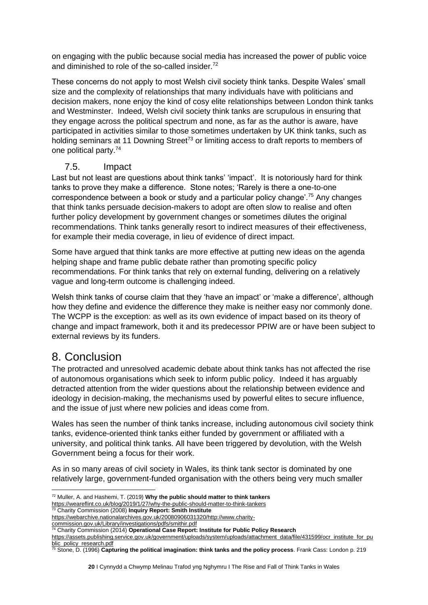on engaging with the public because social media has increased the power of public voice and diminished to role of the so-called insider.<sup>72</sup>

These concerns do not apply to most Welsh civil society think tanks. Despite Wales' small size and the complexity of relationships that many individuals have with politicians and decision makers, none enjoy the kind of cosy elite relationships between London think tanks and Westminster. Indeed, Welsh civil society think tanks are scrupulous in ensuring that they engage across the political spectrum and none, as far as the author is aware, have participated in activities similar to those sometimes undertaken by UK think tanks, such as holding seminars at 11 Downing Street<sup>73</sup> or limiting access to draft reports to members of one political party.<sup>74</sup>

#### 7.5. Impact

<span id="page-19-0"></span>Last but not least are questions about think tanks' 'impact'. It is notoriously hard for think tanks to prove they make a difference. Stone notes; 'Rarely is there a one-to-one correspondence between a book or study and a particular policy change'.<sup>75</sup> Any changes that think tanks persuade decision-makers to adopt are often slow to realise and often further policy development by government changes or sometimes dilutes the original recommendations. Think tanks generally resort to indirect measures of their effectiveness, for example their media coverage, in lieu of evidence of direct impact.

Some have argued that think tanks are more effective at putting new ideas on the agenda helping shape and frame public debate rather than promoting specific policy recommendations. For think tanks that rely on external funding, delivering on a relatively vague and long-term outcome is challenging indeed.

Welsh think tanks of course claim that they 'have an impact' or 'make a difference', although how they define and evidence the difference they make is neither easy nor commonly done. The WCPP is the exception: as well as its own evidence of impact based on its theory of change and impact framework, both it and its predecessor PPIW are or have been subject to external reviews by its funders.

# <span id="page-19-1"></span>8. Conclusion

The protracted and unresolved academic debate about think tanks has not affected the rise of autonomous organisations which seek to inform public policy. Indeed it has arguably detracted attention from the wider questions about the relationship between evidence and ideology in decision-making, the mechanisms used by powerful elites to secure influence, and the issue of just where new policies and ideas come from.

Wales has seen the number of think tanks increase, including autonomous civil society think tanks, evidence-oriented think tanks either funded by government or affiliated with a university, and political think tanks. All have been triggered by devolution, with the Welsh Government being a focus for their work.

As in so many areas of civil society in Wales, its think tank sector is dominated by one relatively large, government-funded organisation with the others being very much smaller

<https://weareflint.co.uk/blog/2019/1/27/why-the-public-should-matter-to-think-tankers> <sup>73</sup> Charity Commission (2008) **Inquiry Report: Smith Institute**

[commission.gov.uk/Library/investigations/pdfs/smithir.pdf](https://webarchive.nationalarchives.gov.uk/20080906031320/http:/www.charity-commission.gov.uk/Library/investigations/pdfs/smithir.pdf)

<sup>72</sup> Muller, A. and Hashemi, T. (2019) **Why the public should matter to think tankers**

[https://webarchive.nationalarchives.gov.uk/20080906031320/http://www.charity-](https://webarchive.nationalarchives.gov.uk/20080906031320/http:/www.charity-commission.gov.uk/Library/investigations/pdfs/smithir.pdf)

<sup>74</sup> Charity Commission (2014) **Operational Case Report: Institute for Public Policy Research**

[https://assets.publishing.service.gov.uk/government/uploads/system/uploads/attachment\\_data/file/431599/ocr\\_institute\\_for\\_pu](https://assets.publishing.service.gov.uk/government/uploads/system/uploads/attachment_data/file/431599/ocr_institute_for_public_policy_research.pdf) [blic\\_policy\\_research.pdf](https://assets.publishing.service.gov.uk/government/uploads/system/uploads/attachment_data/file/431599/ocr_institute_for_public_policy_research.pdf)

<sup>75</sup> Stone, D. (1996) **Capturing the political imagination: think tanks and the policy process**. Frank Cass: London p. 219